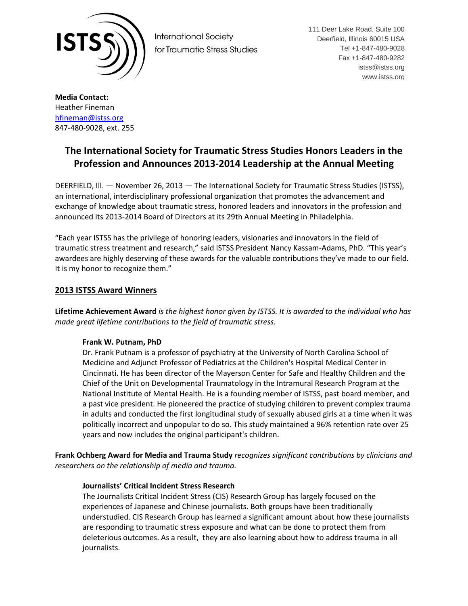

**International Society** for Traumatic Stress Studies 111 Deer Lake Road, Suite 100 Deerfield, Illinois 60015 USA Tel +1-847-480-9028 Fax +1-847-480-9282 istss@istss.org www.istss.org

**Media Contact:** Heather Fineman [hfineman@istss.org](mailto:hfineman@istss.org) 847-480-9028, ext. 255

# **The International Society for Traumatic Stress Studies Honors Leaders in the Profession and Announces 2013-2014 Leadership at the Annual Meeting**

DEERFIELD, Ill. — November 26, 2013 — The International Society for Traumatic Stress Studies (ISTSS), an international, interdisciplinary professional organization that promotes the advancement and exchange of knowledge about traumatic stress, honored leaders and innovators in the profession and announced its 2013-2014 Board of Directors at its 29th Annual Meeting in Philadelphia.

"Each year ISTSS has the privilege of honoring leaders, visionaries and innovators in the field of traumatic stress treatment and research," said ISTSS President Nancy Kassam-Adams, PhD. "This year's awardees are highly deserving of these awards for the valuable contributions they've made to our field. It is my honor to recognize them."

# **2013 ISTSS Award Winners**

**Lifetime Achievement Award** *is the highest honor given by ISTSS. It is awarded to the individual who has made great lifetime contributions to the field of traumatic stress.*

## **Frank W. Putnam, PhD**

Dr. Frank Putnam is a professor of psychiatry at the University of North Carolina School of Medicine and Adjunct Professor of Pediatrics at the Children's Hospital Medical Center in Cincinnati. He has been director of the Mayerson Center for Safe and Healthy Children and the Chief of the Unit on Developmental Traumatology in the Intramural Research Program at the National Institute of Mental Health. He is a founding member of ISTSS, past board member, and a past vice president. He pioneered the practice of studying children to prevent complex trauma in adults and conducted the first longitudinal study of sexually abused girls at a time when it was politically incorrect and unpopular to do so. This study maintained a 96% retention rate over 25 years and now includes the original participant's children.

**Frank Ochberg Award for Media and Trauma Study** *recognizes significant contributions by clinicians and researchers on the relationship of media and trauma.*

# **Journalists' Critical Incident Stress Research**

The Journalists Critical Incident Stress (CIS) Research Group has largely focused on the experiences of Japanese and Chinese journalists. Both groups have been traditionally understudied. CIS Research Group has learned a significant amount about how these journalists are responding to traumatic stress exposure and what can be done to protect them from deleterious outcomes. As a result, they are also learning about how to address trauma in all journalists.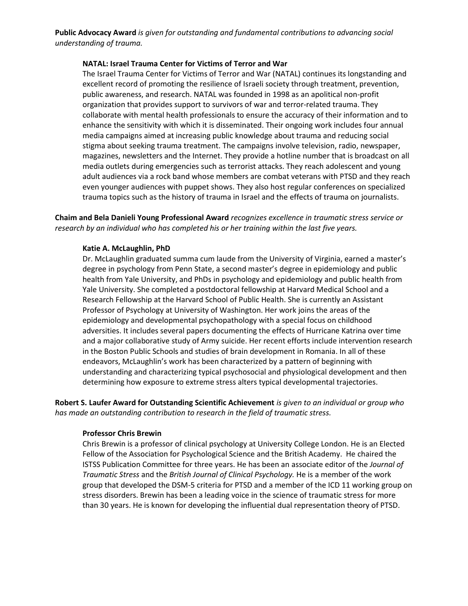**Public Advocacy Award** *is given for outstanding and fundamental contributions to advancing social understanding of trauma.*

#### **NATAL: Israel Trauma Center for Victims of Terror and War**

The Israel Trauma Center for Victims of Terror and War (NATAL) continues its longstanding and excellent record of promoting the resilience of Israeli society through treatment, prevention, public awareness, and research. NATAL was founded in 1998 as an apolitical non-profit organization that provides support to survivors of war and terror-related trauma. They collaborate with mental health professionals to ensure the accuracy of their information and to enhance the sensitivity with which it is disseminated. Their ongoing work includes four annual media campaigns aimed at increasing public knowledge about trauma and reducing social stigma about seeking trauma treatment. The campaigns involve television, radio, newspaper, magazines, newsletters and the Internet. They provide a hotline number that is broadcast on all media outlets during emergencies such as terrorist attacks. They reach adolescent and young adult audiences via a rock band whose members are combat veterans with PTSD and they reach even younger audiences with puppet shows. They also host regular conferences on specialized trauma topics such as the history of trauma in Israel and the effects of trauma on journalists.

**Chaim and Bela Danieli Young Professional Award** *recognizes excellence in traumatic stress service or research by an individual who has completed his or her training within the last five years.*

#### **Katie A. McLaughlin, PhD**

Dr. McLaughlin graduated summa cum laude from the University of Virginia, earned a master's degree in psychology from Penn State, a second master's degree in epidemiology and public health from Yale University, and PhDs in psychology and epidemiology and public health from Yale University. She completed a postdoctoral fellowship at Harvard Medical School and a Research Fellowship at the Harvard School of Public Health. She is currently an Assistant Professor of Psychology at University of Washington. Her work joins the areas of the epidemiology and developmental psychopathology with a special focus on childhood adversities. It includes several papers documenting the effects of Hurricane Katrina over time and a major collaborative study of Army suicide. Her recent efforts include intervention research in the Boston Public Schools and studies of brain development in Romania. In all of these endeavors, McLaughlin's work has been characterized by a pattern of beginning with understanding and characterizing typical psychosocial and physiological development and then determining how exposure to extreme stress alters typical developmental trajectories.

**Robert S. Laufer Award for Outstanding Scientific Achievement** *is given to an individual or group who has made an outstanding contribution to research in the field of traumatic stress.*

#### **Professor Chris Brewin**

Chris Brewin is a professor of clinical psychology at University College London. He is an Elected Fellow of the Association for Psychological Science and the British Academy. He chaired the ISTSS Publication Committee for three years. He has been an associate editor of the *Journal of Traumatic Stress* and the *British Journal of Clinical Psychology.* He is a member of the work group that developed the DSM-5 criteria for PTSD and a member of the ICD 11 working group on stress disorders. Brewin has been a leading voice in the science of traumatic stress for more than 30 years. He is known for developing the influential dual representation theory of PTSD.